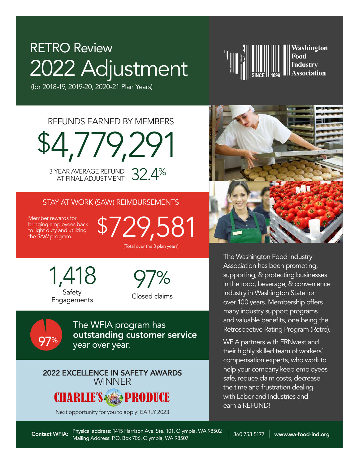# 2022 Adjustment RETRO Review



(for 2018-19, 2019-20, 2020-21 Plan Years)

\$4,779,291 REFUNDS EARNED BY MEMBERS

3-YEAR AVERAGE REFUND 32.4%

## STAY AT WORK (SAW) REIMBURSEMENTS

Member rewards for bringing employees back to light duty and utilizing the SAW program.

%

\$729,581 (Total over the 3 plan years)

1,418 **Safety Engagements** 

 $\%$ Closed claims

The WFIA program has outstanding customer service<br>year over year.

# 2022 EXCELLENCE IN SAFETY AWARDS **WINNER**



Next opportunity for you to apply: EARLY 2023



The Washington Food Industry Association has been promoting, supporting, & protecting businesses in the food, beverage, & convenience industry in Washington State for over 100 years. Membership offers many industry support programs and valuable benefits, one being the Retrospective Rating Program (Retro).

WFIA partners with ERNwest and their highly skilled team of workers' compensation experts, who work to help your company keep employees safe, reduce claim costs, decrease the time and frustration dealing with Labor and Industries and earn a REFUND!

Physical address: 1415 Harrison Ave. Ste. 101, Olympia, WA 98502 Contact WFIA: Physical address: 1415 Harrison Ave. Ste. 101, Olympia, WA 98502 | 360.753.5177 | www.wa-food-ind.org<br>Mailing Address: P.O. Box 706, Olympia, WA 98507